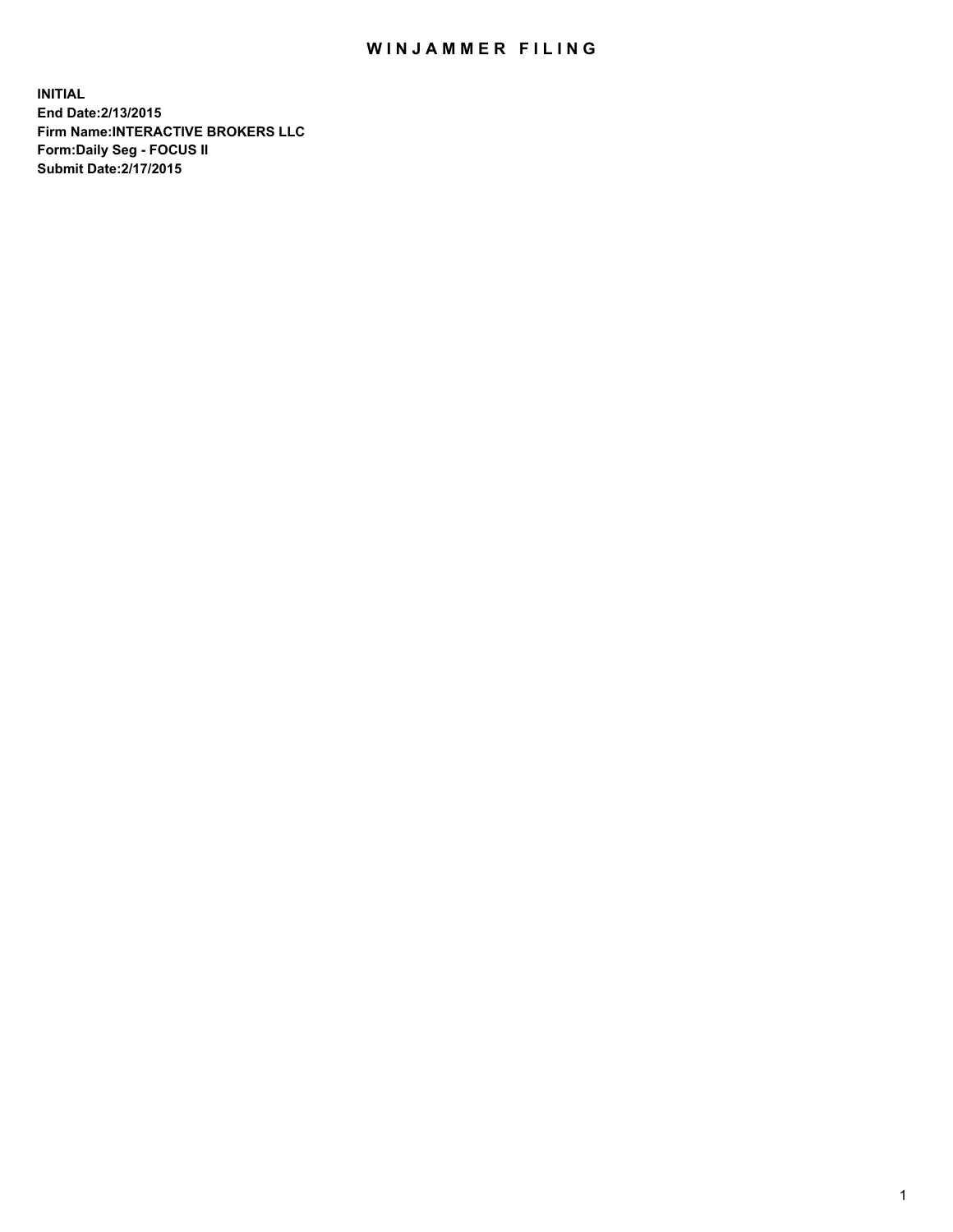## WIN JAMMER FILING

**INITIAL End Date:2/13/2015 Firm Name:INTERACTIVE BROKERS LLC Form:Daily Seg - FOCUS II Submit Date:2/17/2015**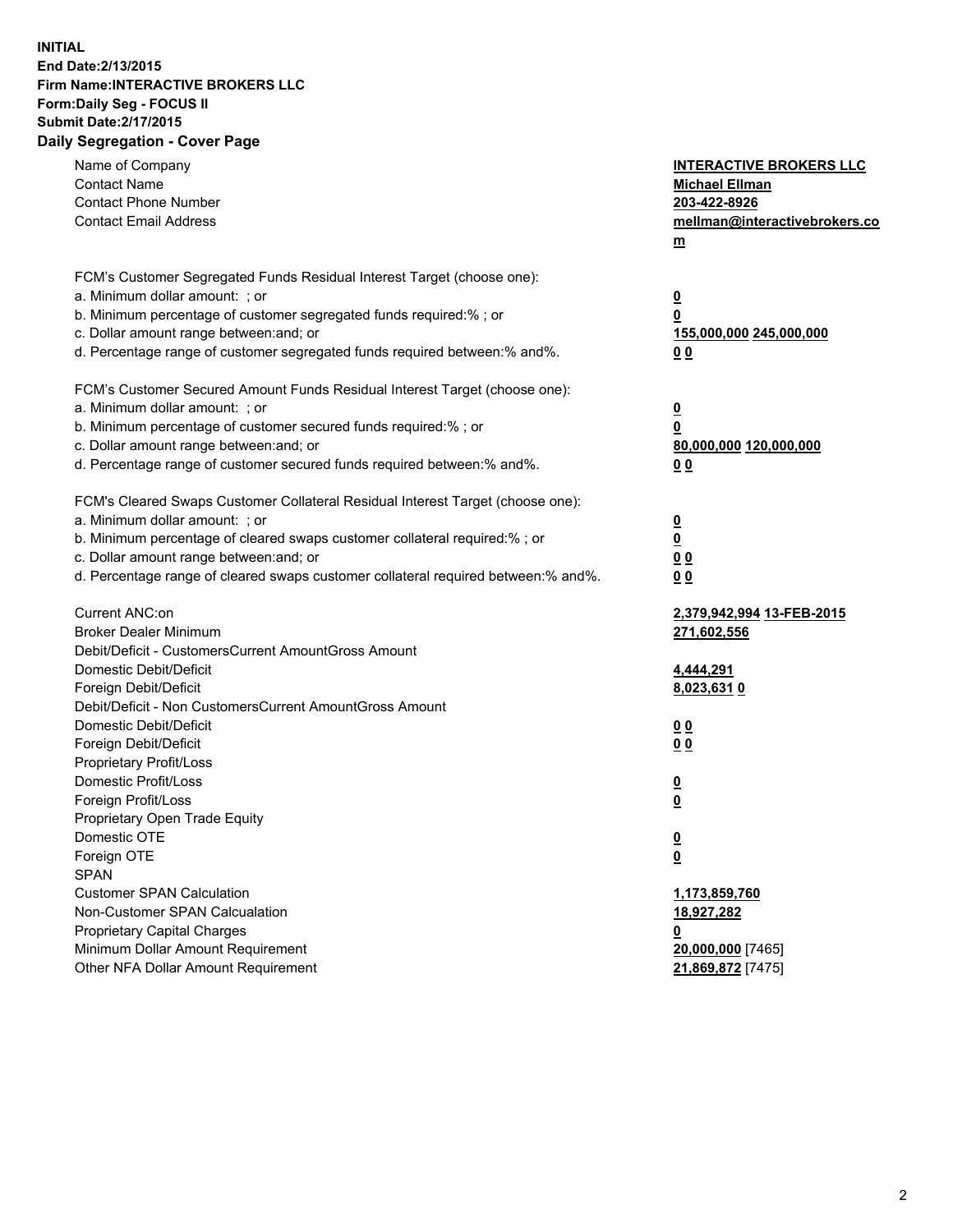## **INITIAL End Date:2/13/2015 Firm Name:INTERACTIVE BROKERS LLC Form:Daily Seg - FOCUS II Submit Date:2/17/2015 Daily Segregation - Cover Page**

| Name of Company<br><b>Contact Name</b><br><b>Contact Phone Number</b><br><b>Contact Email Address</b>                                                   | <b>INTERACTIVE BROKERS LLC</b><br><b>Michael Ellman</b><br>203-422-8926<br>mellman@interactivebrokers.co<br>$m$ |
|---------------------------------------------------------------------------------------------------------------------------------------------------------|-----------------------------------------------------------------------------------------------------------------|
| FCM's Customer Segregated Funds Residual Interest Target (choose one):<br>a. Minimum dollar amount: ; or                                                | $\overline{\mathbf{0}}$                                                                                         |
| b. Minimum percentage of customer segregated funds required:% ; or<br>c. Dollar amount range between: and; or                                           | 0<br>155,000,000 245,000,000                                                                                    |
| d. Percentage range of customer segregated funds required between:% and%.<br>FCM's Customer Secured Amount Funds Residual Interest Target (choose one): | 0 <sub>0</sub>                                                                                                  |
| a. Minimum dollar amount: ; or                                                                                                                          | $\overline{\mathbf{0}}$                                                                                         |
| b. Minimum percentage of customer secured funds required:% ; or<br>c. Dollar amount range between: and; or                                              | 0<br>80,000,000 120,000,000                                                                                     |
| d. Percentage range of customer secured funds required between:% and%.                                                                                  | 0 <sub>0</sub>                                                                                                  |
| FCM's Cleared Swaps Customer Collateral Residual Interest Target (choose one):<br>a. Minimum dollar amount: ; or                                        |                                                                                                                 |
| b. Minimum percentage of cleared swaps customer collateral required:% ; or                                                                              | $\overline{\mathbf{0}}$<br>$\overline{\mathbf{0}}$                                                              |
| c. Dollar amount range between: and; or                                                                                                                 | 0 <sub>0</sub>                                                                                                  |
| d. Percentage range of cleared swaps customer collateral required between:% and%.                                                                       | 0 <sub>0</sub>                                                                                                  |
| Current ANC:on                                                                                                                                          | 2,379,942,994 13-FEB-2015                                                                                       |
| <b>Broker Dealer Minimum</b>                                                                                                                            | 271,602,556                                                                                                     |
| Debit/Deficit - CustomersCurrent AmountGross Amount<br>Domestic Debit/Deficit                                                                           | 4,444,291                                                                                                       |
| Foreign Debit/Deficit                                                                                                                                   | 8,023,631 0                                                                                                     |
| Debit/Deficit - Non CustomersCurrent AmountGross Amount                                                                                                 |                                                                                                                 |
| Domestic Debit/Deficit                                                                                                                                  | 0 <sub>0</sub>                                                                                                  |
| Foreign Debit/Deficit                                                                                                                                   | 0 <sub>0</sub>                                                                                                  |
| Proprietary Profit/Loss                                                                                                                                 |                                                                                                                 |
| Domestic Profit/Loss                                                                                                                                    | $\overline{\mathbf{0}}$                                                                                         |
| Foreign Profit/Loss                                                                                                                                     | $\underline{\mathbf{0}}$                                                                                        |
| Proprietary Open Trade Equity                                                                                                                           |                                                                                                                 |
| Domestic OTE                                                                                                                                            | <u>0</u>                                                                                                        |
| Foreign OTE                                                                                                                                             | <u>0</u>                                                                                                        |
| <b>SPAN</b>                                                                                                                                             |                                                                                                                 |
| <b>Customer SPAN Calculation</b>                                                                                                                        | 1,173,859,760                                                                                                   |
| Non-Customer SPAN Calcualation                                                                                                                          | 18,927,282                                                                                                      |
| Proprietary Capital Charges                                                                                                                             | <u>0</u>                                                                                                        |
| Minimum Dollar Amount Requirement                                                                                                                       | 20,000,000 [7465]                                                                                               |
| Other NFA Dollar Amount Requirement                                                                                                                     | 21,869,872 [7475]                                                                                               |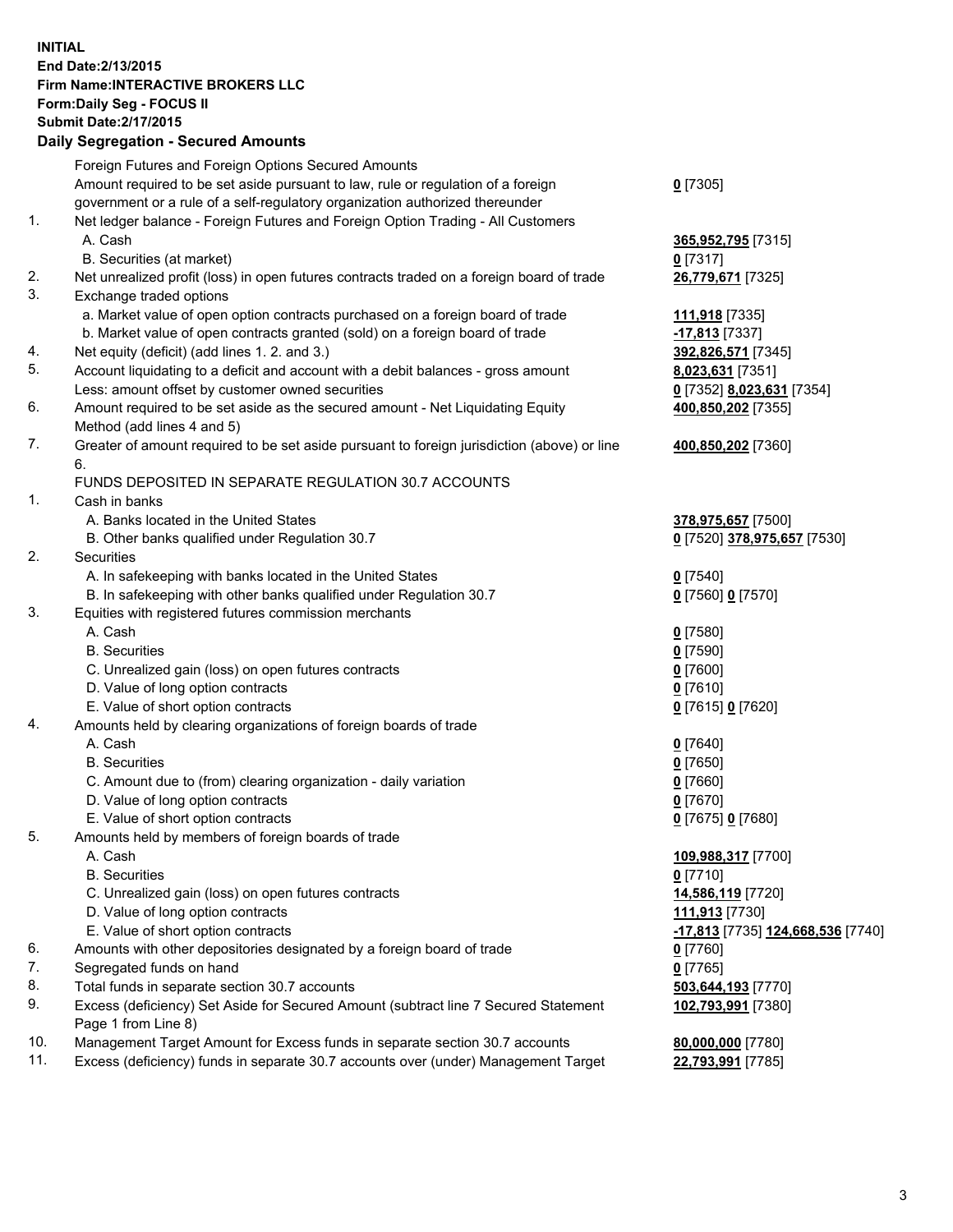## **INITIAL End Date:2/13/2015 Firm Name:INTERACTIVE BROKERS LLC Form:Daily Seg - FOCUS II Submit Date:2/17/2015 Daily Segregation - Secured Amounts**

|                | Daily Jegregation - Jeculed Aniounts                                                        |                                   |
|----------------|---------------------------------------------------------------------------------------------|-----------------------------------|
|                | Foreign Futures and Foreign Options Secured Amounts                                         |                                   |
|                | Amount required to be set aside pursuant to law, rule or regulation of a foreign            | $0$ [7305]                        |
|                | government or a rule of a self-regulatory organization authorized thereunder                |                                   |
| 1.             | Net ledger balance - Foreign Futures and Foreign Option Trading - All Customers             |                                   |
|                | A. Cash                                                                                     | 365,952,795 [7315]                |
|                | B. Securities (at market)                                                                   | $0$ [7317]                        |
| 2.             | Net unrealized profit (loss) in open futures contracts traded on a foreign board of trade   | 26,779,671 [7325]                 |
| 3.             | Exchange traded options                                                                     |                                   |
|                | a. Market value of open option contracts purchased on a foreign board of trade              | <u>111,918</u> [7335]             |
|                | b. Market value of open contracts granted (sold) on a foreign board of trade                | $-17,813$ [7337]                  |
| 4.             | Net equity (deficit) (add lines 1. 2. and 3.)                                               | 392,826,571 [7345]                |
| 5.             | Account liquidating to a deficit and account with a debit balances - gross amount           | 8,023,631 [7351]                  |
|                | Less: amount offset by customer owned securities                                            | 0 [7352] 8,023,631 [7354]         |
| 6.             | Amount required to be set aside as the secured amount - Net Liquidating Equity              | 400,850,202 [7355]                |
|                | Method (add lines 4 and 5)                                                                  |                                   |
| 7.             | Greater of amount required to be set aside pursuant to foreign jurisdiction (above) or line | 400,850,202 [7360]                |
|                | 6.                                                                                          |                                   |
|                | FUNDS DEPOSITED IN SEPARATE REGULATION 30.7 ACCOUNTS                                        |                                   |
| $\mathbf{1}$ . | Cash in banks                                                                               |                                   |
|                | A. Banks located in the United States                                                       | 378,975,657 [7500]                |
|                | B. Other banks qualified under Regulation 30.7                                              | 0 [7520] 378,975,657 [7530]       |
| 2.             | Securities                                                                                  |                                   |
|                | A. In safekeeping with banks located in the United States                                   | $0$ [7540]                        |
|                | B. In safekeeping with other banks qualified under Regulation 30.7                          | 0 [7560] 0 [7570]                 |
| 3.             | Equities with registered futures commission merchants                                       |                                   |
|                | A. Cash                                                                                     | $0$ [7580]                        |
|                | <b>B.</b> Securities                                                                        | $0$ [7590]                        |
|                | C. Unrealized gain (loss) on open futures contracts                                         | $0$ [7600]                        |
|                | D. Value of long option contracts                                                           | $0$ [7610]                        |
|                | E. Value of short option contracts                                                          | 0 [7615] 0 [7620]                 |
| 4.             | Amounts held by clearing organizations of foreign boards of trade                           |                                   |
|                | A. Cash                                                                                     | $0$ [7640]                        |
|                | <b>B.</b> Securities                                                                        | $0$ [7650]                        |
|                | C. Amount due to (from) clearing organization - daily variation                             | $0$ [7660]                        |
|                | D. Value of long option contracts                                                           | $0$ [7670]                        |
|                | E. Value of short option contracts                                                          | 0 [7675] 0 [7680]                 |
| 5.             | Amounts held by members of foreign boards of trade                                          |                                   |
|                | A. Cash                                                                                     | 109,988,317 [7700]                |
|                | <b>B.</b> Securities                                                                        | $0$ [7710]                        |
|                | C. Unrealized gain (loss) on open futures contracts                                         | 14,586,119 [7720]                 |
|                | D. Value of long option contracts                                                           | 111,913 [7730]                    |
|                | E. Value of short option contracts                                                          | -17,813 [7735] 124,668,536 [7740] |
| 6.             | Amounts with other depositories designated by a foreign board of trade                      | 0 [7760]                          |
| 7.             | Segregated funds on hand                                                                    | $0$ [7765]                        |
| 8.             | Total funds in separate section 30.7 accounts                                               | 503,644,193 [7770]                |
| 9.             | Excess (deficiency) Set Aside for Secured Amount (subtract line 7 Secured Statement         | 102,793,991 [7380]                |
|                | Page 1 from Line 8)                                                                         |                                   |
| 10.            | Management Target Amount for Excess funds in separate section 30.7 accounts                 | 80,000,000 [7780]                 |
| 11.            | Excess (deficiency) funds in separate 30.7 accounts over (under) Management Target          | 22,793,991 [7785]                 |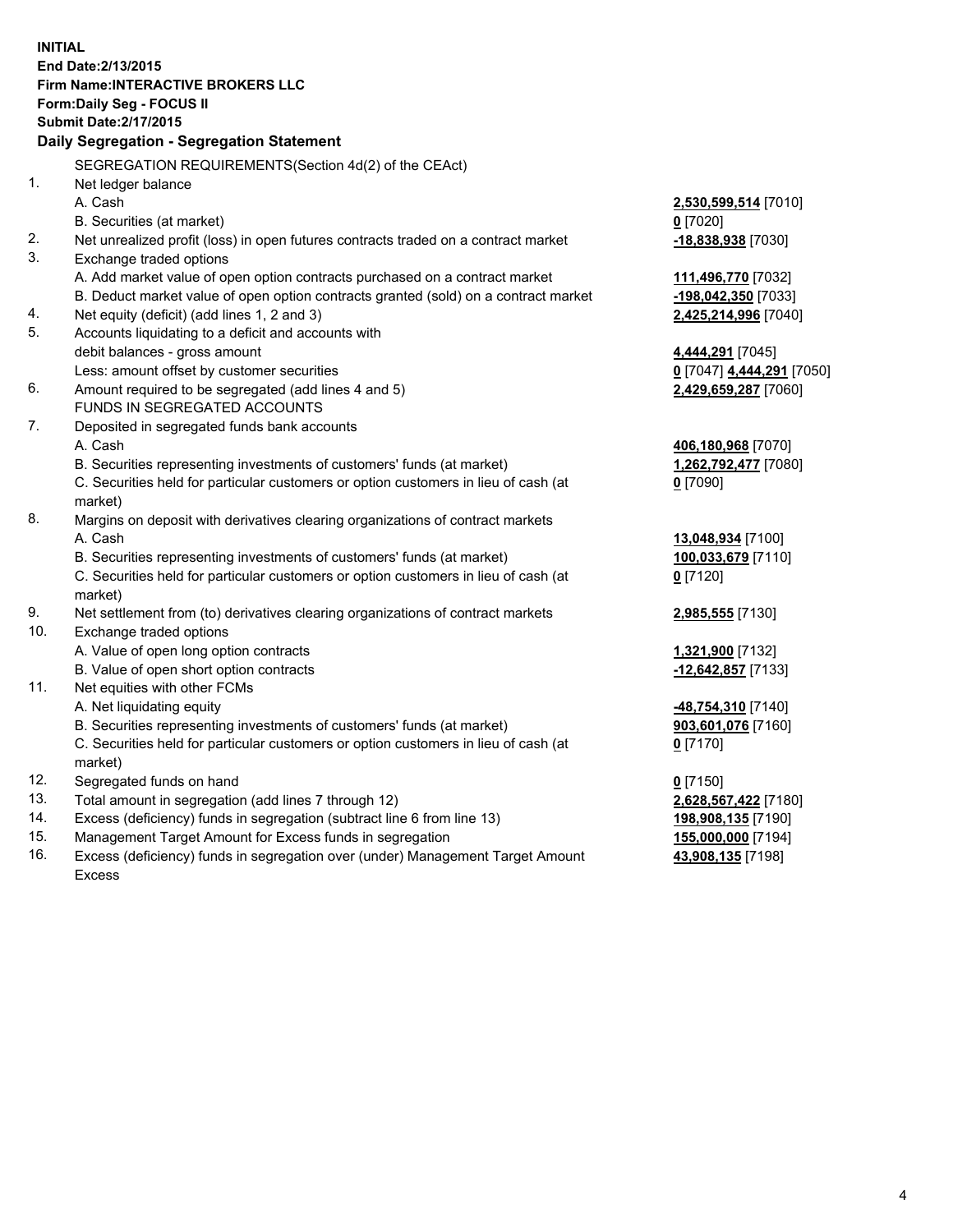**INITIAL End Date:2/13/2015 Firm Name:INTERACTIVE BROKERS LLC Form:Daily Seg - FOCUS II Submit Date:2/17/2015 Daily Segregation - Segregation Statement** SEGREGATION REQUIREMENTS(Section 4d(2) of the CEAct) 1. Net ledger balance A. Cash **2,530,599,514** [7010] B. Securities (at market) **0** [7020] 2. Net unrealized profit (loss) in open futures contracts traded on a contract market **-18,838,938** [7030] 3. Exchange traded options A. Add market value of open option contracts purchased on a contract market **111,496,770** [7032] B. Deduct market value of open option contracts granted (sold) on a contract market **-198,042,350** [7033] 4. Net equity (deficit) (add lines 1, 2 and 3) **2,425,214,996** [7040] 5. Accounts liquidating to a deficit and accounts with debit balances - gross amount **4,444,291** [7045] Less: amount offset by customer securities **0** [7047] **4,444,291** [7050] 6. Amount required to be segregated (add lines 4 and 5) **2,429,659,287** [7060] FUNDS IN SEGREGATED ACCOUNTS 7. Deposited in segregated funds bank accounts A. Cash **406,180,968** [7070] B. Securities representing investments of customers' funds (at market) **1,262,792,477** [7080] C. Securities held for particular customers or option customers in lieu of cash (at market) **0** [7090] 8. Margins on deposit with derivatives clearing organizations of contract markets A. Cash **13,048,934** [7100] B. Securities representing investments of customers' funds (at market) **100,033,679** [7110] C. Securities held for particular customers or option customers in lieu of cash (at market) **0** [7120] 9. Net settlement from (to) derivatives clearing organizations of contract markets **2,985,555** [7130] 10. Exchange traded options A. Value of open long option contracts **1,321,900** [7132] B. Value of open short option contracts **-12,642,857** [7133] 11. Net equities with other FCMs A. Net liquidating equity **-48,754,310** [7140] B. Securities representing investments of customers' funds (at market) **903,601,076** [7160] C. Securities held for particular customers or option customers in lieu of cash (at market) **0** [7170] 12. Segregated funds on hand **0** [7150] 13. Total amount in segregation (add lines 7 through 12) **2,628,567,422** [7180] 14. Excess (deficiency) funds in segregation (subtract line 6 from line 13) **198,908,135** [7190] 15. Management Target Amount for Excess funds in segregation **155,000,000** [7194]

16. Excess (deficiency) funds in segregation over (under) Management Target Amount Excess

**43,908,135** [7198]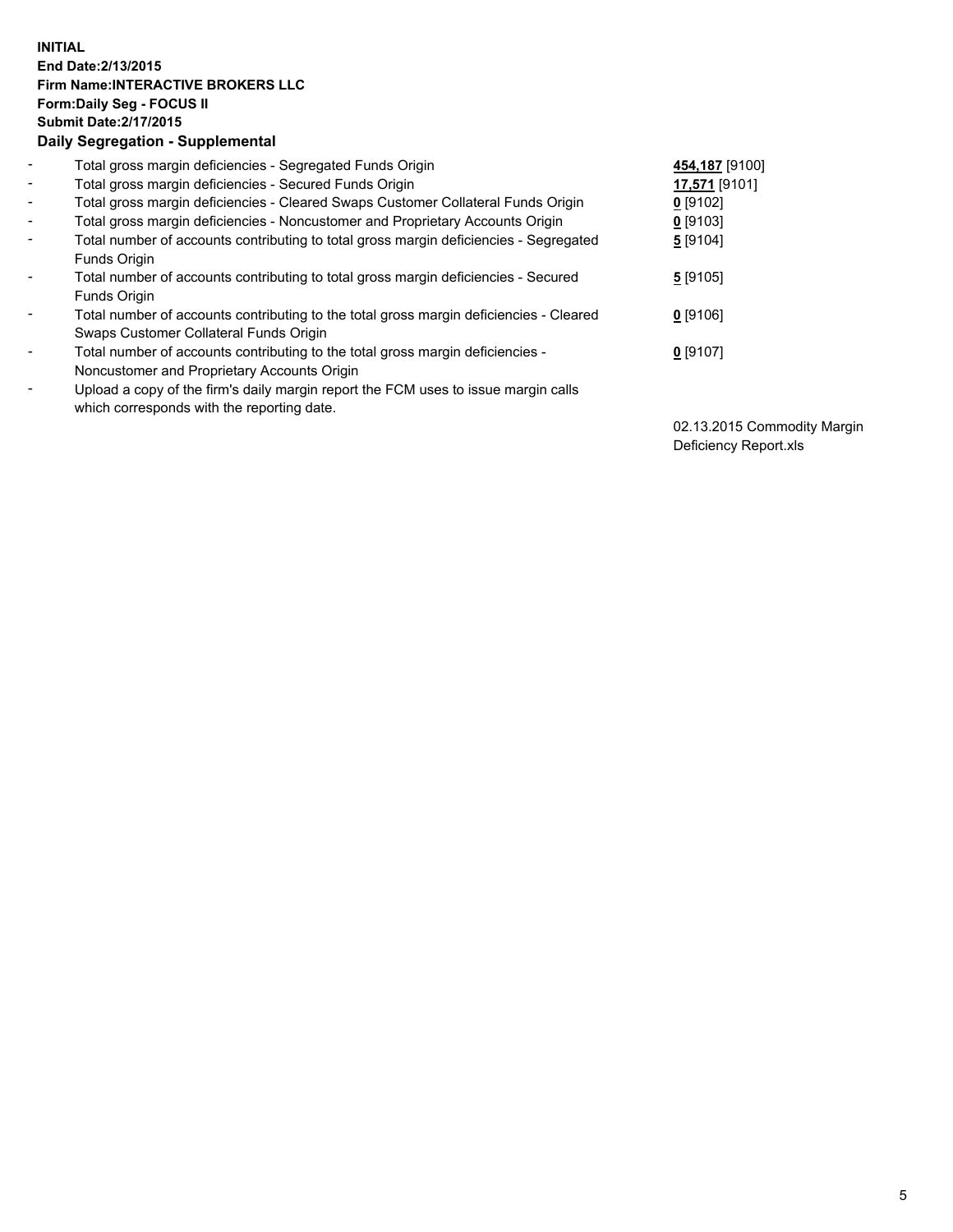## **INITIAL End Date:2/13/2015 Firm Name:INTERACTIVE BROKERS LLC Form:Daily Seg - FOCUS II Submit Date:2/17/2015 Daily Segregation - Supplemental**

| $\blacksquare$           | Total gross margin deficiencies - Segregated Funds Origin                              | 454,187 [9100] |
|--------------------------|----------------------------------------------------------------------------------------|----------------|
| $\sim$                   | Total gross margin deficiencies - Secured Funds Origin                                 | 17,571 [9101]  |
| $\blacksquare$           | Total gross margin deficiencies - Cleared Swaps Customer Collateral Funds Origin       | $0$ [9102]     |
| $\blacksquare$           | Total gross margin deficiencies - Noncustomer and Proprietary Accounts Origin          | $0$ [9103]     |
| $\blacksquare$           | Total number of accounts contributing to total gross margin deficiencies - Segregated  | 5 [9104]       |
|                          | Funds Origin                                                                           |                |
| $\blacksquare$           | Total number of accounts contributing to total gross margin deficiencies - Secured     | 5[9105]        |
|                          | <b>Funds Origin</b>                                                                    |                |
| $\blacksquare$           | Total number of accounts contributing to the total gross margin deficiencies - Cleared | $0$ [9106]     |
|                          | Swaps Customer Collateral Funds Origin                                                 |                |
| $\overline{\phantom{a}}$ | Total number of accounts contributing to the total gross margin deficiencies -         | $0$ [9107]     |
|                          | Noncustomer and Proprietary Accounts Origin                                            |                |
| $\overline{\phantom{a}}$ | Upload a copy of the firm's daily margin report the FCM uses to issue margin calls     |                |
|                          | which corresponds with the reporting date.                                             |                |

02.13.2015 Commodity Margin Deficiency Report.xls